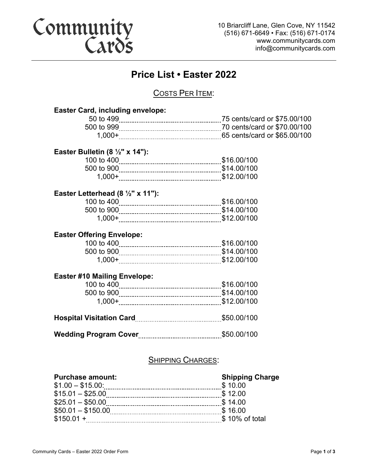# Community<br>Cards

10 Briarcliff Lane, Glen Cove, NY 11542 (516) 671-6649 • Fax: (516) 671-0174 www.communitycards.com info@communitycards.com

### **Price List • Easter 2022**

#### COSTS PER ITEM:

| <b>Easter Card, including envelope:</b>      |  |  |  |
|----------------------------------------------|--|--|--|
|                                              |  |  |  |
|                                              |  |  |  |
|                                              |  |  |  |
| Easter Bulletin (8 $\frac{1}{2}$ " x 14"):   |  |  |  |
|                                              |  |  |  |
|                                              |  |  |  |
|                                              |  |  |  |
| Easter Letterhead (8 $\frac{1}{2}$ " x 11"): |  |  |  |
|                                              |  |  |  |
|                                              |  |  |  |
|                                              |  |  |  |
| <b>Easter Offering Envelope:</b>             |  |  |  |
|                                              |  |  |  |
|                                              |  |  |  |
|                                              |  |  |  |
| <b>Easter #10 Mailing Envelope:</b>          |  |  |  |
|                                              |  |  |  |
|                                              |  |  |  |
|                                              |  |  |  |
|                                              |  |  |  |
|                                              |  |  |  |
| <b>SHIPPING CHARGES:</b>                     |  |  |  |
|                                              |  |  |  |

#### **Purchase amount: Shipping Charge**

#### \$1.00 – \$15.00: \$ 10.00  $$15.01 - $25.00$   $*$   $$12.00$ \$25.01 – \$50.00 \$ 14.00 \$50.01 – \$150.00 \$ 16.00 \$150.01 + \$ 10% of total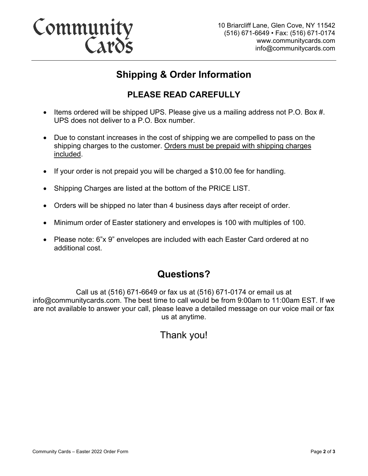# Community<br>Cards

## **Shipping & Order Information**

### **PLEASE READ CAREFULLY**

- Items ordered will be shipped UPS. Please give us a mailing address not P.O. Box #. UPS does not deliver to a P.O. Box number.
- Due to constant increases in the cost of shipping we are compelled to pass on the shipping charges to the customer. Orders must be prepaid with shipping charges included.
- If your order is not prepaid you will be charged a \$10.00 fee for handling.
- Shipping Charges are listed at the bottom of the PRICE LIST.
- Orders will be shipped no later than 4 business days after receipt of order.
- Minimum order of Easter stationery and envelopes is 100 with multiples of 100.
- Please note: 6"x 9" envelopes are included with each Easter Card ordered at no additional cost.

## **Questions?**

Call us at (516) 671-6649 or fax us at (516) 671-0174 or email us at info@communitycards.com. The best time to call would be from 9:00am to 11:00am EST. If we are not available to answer your call, please leave a detailed message on our voice mail or fax us at anytime.

Thank you!